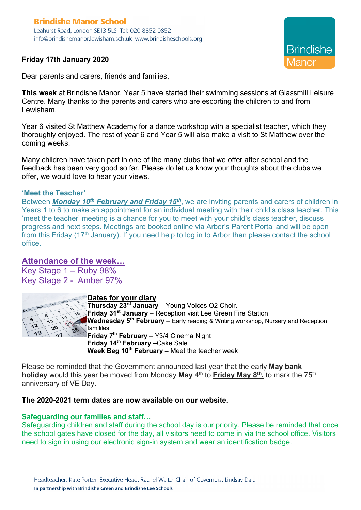## **Brindishe Manor School** Leahurst Road, London SE13 5LS Tel: 020 8852 0852 info@brindishemanor.lewisham.sch.uk www.brindisheschools.org

**Friday 17th January 2020**

**Brindishe** 

Dear parents and carers, friends and families,

**This week** at Brindishe Manor, Year 5 have started their swimming sessions at Glassmill Leisure Centre. Many thanks to the parents and carers who are escorting the children to and from Lewisham.

Year 6 visited St Matthew Academy for a dance workshop with a specialist teacher, which they thoroughly enjoyed. The rest of year 6 and Year 5 will also make a visit to St Matthew over the coming weeks.

Many children have taken part in one of the many clubs that we offer after school and the feedback has been very good so far. Please do let us know your thoughts about the clubs we offer, we would love to hear your views.

### **'Meet the Teacher'**

Between *Monday 10th February and Friday 15th*, we are inviting parents and carers of children in Years 1 to 6 to make an appointment for an individual meeting with their child's class teacher. This 'meet the teacher' meeting is a chance for you to meet with your child's class teacher, discuss progress and next steps. Meetings are booked online via Arbor's Parent Portal and will be open from this Friday (17<sup>th</sup> January). If you need help to log in to Arbor then please contact the school office.

# **Attendance of the week…**

Key Stage 1 – Ruby 98% Key Stage 2 - Amber 97%



### **Dates for your diary**

**Thursday 23rd January** – Young Voices O2 Choir. **Friday 31st January** – Reception visit Lee Green Fire Station **Wednesday 5th February** – Early reading & Writing workshop, Nursery and Reception famililes **Friday 7th February** – Y3/4 Cinema Night **Friday 14th February –**Cake Sale **Week Beg 10<sup>th</sup> February –** Meet the teacher week

Please be reminded that the Government announced last year that the early **May bank holiday** would this year be moved from Monday May 4<sup>th</sup> to **Friday May 8<sup>th</sup>**, to mark the 75<sup>th</sup> anniversary of VE Day.

### **The 2020-2021 term dates are now available on our website.**

### **Safeguarding our families and staff…**

Safeguarding children and staff during the school day is our priority. Please be reminded that once the school gates have closed for the day, all visitors need to come in via the school office. Visitors need to sign in using our electronic sign-in system and wear an identification badge.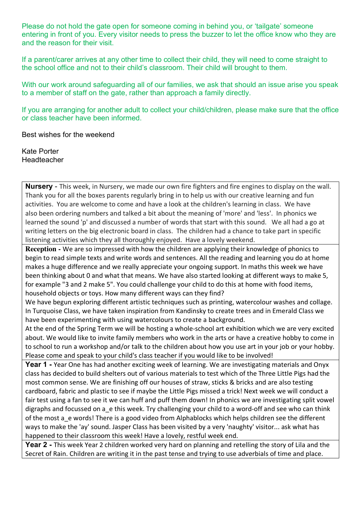Please do not hold the gate open for someone coming in behind you, or 'tailgate' someone entering in front of you. Every visitor needs to press the buzzer to let the office know who they are and the reason for their visit.

If a parent/carer arrives at any other time to collect their child, they will need to come straight to the school office and not to their child's classroom. Their child will brought to them.

With our work around safeguarding all of our families, we ask that should an issue arise you speak to a member of staff on the gate, rather than approach a family directly.

If you are arranging for another adult to collect your child/children, please make sure that the office or class teacher have been informed.

Best wishes for the weekend

Kate Porter Headteacher

**Nursery** - This week, in Nursery, we made our own fire fighters and fire engines to display on the wall. Thank you for all the boxes parents regularly bring in to help us with our creative learning and fun activities. You are welcome to come and have a look at the children's learning in class. We have also been ordering numbers and talked a bit about the meaning of 'more' and 'less'. In phonics we learned the sound 'p' and discussed a number of words that start with this sound. We all had a go at writing letters on the big electronic board in class. The children had a chance to take part in specific listening activities which they all thoroughly enjoyed. Have a lovely weekend.

**Reception -** We are so impressed with how the children are applying their knowledge of phonics to begin to read simple texts and write words and sentences. All the reading and learning you do at home makes a huge difference and we really appreciate your ongoing support. In maths this week we have been thinking about 0 and what that means. We have also started looking at different ways to make 5, for example "3 and 2 make 5". You could challenge your child to do this at home with food items, household objects or toys. How many different ways can they find?

We have begun exploring different artistic techniques such as printing, watercolour washes and collage. In Turquoise Class, we have taken inspiration from Kandinsky to create trees and in Emerald Class we have been experimenting with using watercolours to create a background.

At the end of the Spring Term we will be hosting a whole-school art exhibition which we are very excited about. We would like to invite family members who work in the arts or have a creative hobby to come in to school to run a workshop and/or talk to the children about how you use art in your job or your hobby. Please come and speak to your child's class teacher if you would like to be involved!

**Year 1 -** Year One has had another exciting week of learning. We are investigating materials and Onyx class has decided to build shelters out of various materials to test which of the Three Little Pigs had the most common sense. We are finishing off our houses of straw, sticks & bricks and are also testing cardboard, fabric and plastic to see if maybe the Little Pigs missed a trick! Next week we will conduct a fair test using a fan to see it we can huff and puff them down! In phonics we are investigating split vowel digraphs and focussed on a e this week. Try challenging your child to a word-off and see who can think of the most a e words! There is a good video from Alphablocks which helps children see the different ways to make the 'ay' sound. Jasper Class has been visited by a very 'naughty' visitor... ask what has happened to their classroom this week! Have a lovely, restful week end.

**Year 2 -** This week Year 2 children worked very hard on planning and retelling the story of Lila and the Secret of Rain. Children are writing it in the past tense and trying to use adverbials of time and place.